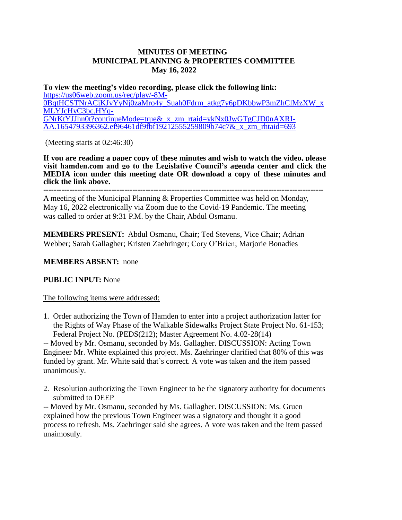## **MINUTES OF MEETING MUNICIPAL PLANNING & PROPERTIES COMMITTEE May 16, 2022**

**To view the meeting's video recording, please click the following link:** [https://us06web.zoom.us/rec/play/-8M-](https://us06web.zoom.us/rec/play/-8M-0BqtHCSTNrACjKJvYyNj0zaMro4y_Suah0Fdrm_atkg7y6pDKbbwP3mZhClMzXW_xMLYJcHyC3bc.HYq-GNrKtYJJhn0t?continueMode=true&_x_zm_rtaid=ykNx0JwGTgCJD0nAXRI-AA.1654793396362.ef96461df9fbf19212555259809b74c7&_x_zm_rhtaid=693)[0BqtHCSTNrACjKJvYyNj0zaMro4y\\_Suah0Fdrm\\_atkg7y6pDKbbwP3mZhClMzXW\\_x](https://us06web.zoom.us/rec/play/-8M-0BqtHCSTNrACjKJvYyNj0zaMro4y_Suah0Fdrm_atkg7y6pDKbbwP3mZhClMzXW_xMLYJcHyC3bc.HYq-GNrKtYJJhn0t?continueMode=true&_x_zm_rtaid=ykNx0JwGTgCJD0nAXRI-AA.1654793396362.ef96461df9fbf19212555259809b74c7&_x_zm_rhtaid=693) [MLYJcHyC3bc.HYq-](https://us06web.zoom.us/rec/play/-8M-0BqtHCSTNrACjKJvYyNj0zaMro4y_Suah0Fdrm_atkg7y6pDKbbwP3mZhClMzXW_xMLYJcHyC3bc.HYq-GNrKtYJJhn0t?continueMode=true&_x_zm_rtaid=ykNx0JwGTgCJD0nAXRI-AA.1654793396362.ef96461df9fbf19212555259809b74c7&_x_zm_rhtaid=693)[GNrKtYJJhn0t?continueMode=true&\\_x\\_zm\\_rtaid=ykNx0JwGTgCJD0nAXRI-](https://us06web.zoom.us/rec/play/-8M-0BqtHCSTNrACjKJvYyNj0zaMro4y_Suah0Fdrm_atkg7y6pDKbbwP3mZhClMzXW_xMLYJcHyC3bc.HYq-GNrKtYJJhn0t?continueMode=true&_x_zm_rtaid=ykNx0JwGTgCJD0nAXRI-AA.1654793396362.ef96461df9fbf19212555259809b74c7&_x_zm_rhtaid=693)[AA.1654793396362.ef96461df9fbf19212555259809b74c7&\\_x\\_zm\\_rhtaid=693](https://us06web.zoom.us/rec/play/-8M-0BqtHCSTNrACjKJvYyNj0zaMro4y_Suah0Fdrm_atkg7y6pDKbbwP3mZhClMzXW_xMLYJcHyC3bc.HYq-GNrKtYJJhn0t?continueMode=true&_x_zm_rtaid=ykNx0JwGTgCJD0nAXRI-AA.1654793396362.ef96461df9fbf19212555259809b74c7&_x_zm_rhtaid=693)

(Meeting starts at 02:46:30)

**If you are reading a paper copy of these minutes and wish to watch the video, please visit hamden.com and go to the Legislative Council's agenda center and click the MEDIA icon under this meeting date OR download a copy of these minutes and click the link above.**

**-----------------------------------------------------------------------------------------------------------**

A meeting of the Municipal Planning & Properties Committee was held on Monday, May 16, 2022 electronically via Zoom due to the Covid-19 Pandemic. The meeting was called to order at 9:31 P.M. by the Chair, Abdul Osmanu.

**MEMBERS PRESENT:** Abdul Osmanu, Chair; Ted Stevens, Vice Chair; Adrian Webber; Sarah Gallagher; Kristen Zaehringer; Cory O'Brien; Marjorie Bonadies

## **MEMBERS ABSENT:** none

## **PUBLIC INPUT:** None

## The following items were addressed:

1. Order authorizing the Town of Hamden to enter into a project authorization latter for the Rights of Way Phase of the Walkable Sidewalks Project State Project No. 61-153; Federal Project No. (PEDS(212); Master Agreement No. 4.02-28(14)

-- Moved by Mr. Osmanu, seconded by Ms. Gallagher. DISCUSSION: Acting Town Engineer Mr. White explained this project. Ms. Zaehringer clarified that 80% of this was funded by grant. Mr. White said that's correct. A vote was taken and the item passed unanimously.

2. Resolution authorizing the Town Engineer to be the signatory authority for documents submitted to DEEP

-- Moved by Mr. Osmanu, seconded by Ms. Gallagher. DISCUSSION: Ms. Gruen explained how the previous Town Engineer was a signatory and thought it a good process to refresh. Ms. Zaehringer said she agrees. A vote was taken and the item passed unaimosuly.